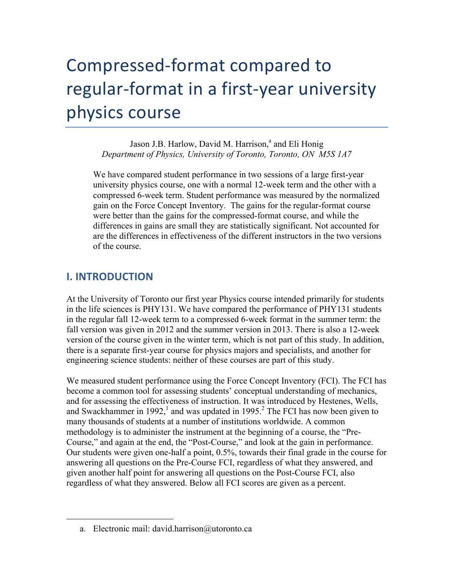# Compressed-format compared to regular-format in a first-year university physics course

Jason J.B. Harlow, David M. Harrison,<sup>a</sup> and Eli Honig *Department of Physics, University of Toronto, Toronto, ON M5S 1A7*

We have compared student performance in two sessions of a large first-year university physics course, one with a normal 12-week term and the other with a compressed 6-week term. Student performance was measured by the normalized gain on the Force Concept Inventory. The gains for the regular-format course were better than the gains for the compressed-format course, and while the differences in gains are small they are statistically significant. Not accounted for are the differences in effectiveness of the different instructors in the two versions of the course.

# **I. INTRODUCTION**

 $\overline{a}$ 

At the University of Toronto our first year Physics course intended primarily for students in the life sciences is PHY131. We have compared the performance of PHY131 students in the regular fall 12-week term to a compressed 6-week format in the summer term: the fall version was given in 2012 and the summer version in 2013. There is also a 12-week version of the course given in the winter term, which is not part of this study. In addition, there is a separate first-year course for physics majors and specialists, and another for engineering science students: neither of these courses are part of this study.

We measured student performance using the Force Concept Inventory (FCI). The FCI has become a common tool for assessing students' conceptual understanding of mechanics, and for assessing the effectiveness of instruction. It was introduced by Hestenes, Wells, and Swackhammer in 1992,<sup>1</sup> and was updated in 1995.<sup>2</sup> The FCI has now been given to many thousands of students at a number of institutions worldwide. A common methodology is to administer the instrument at the beginning of a course, the "Pre-Course," and again at the end, the "Post-Course," and look at the gain in performance. Our students were given one-half a point, 0.5%, towards their final grade in the course for answering all questions on the Pre-Course FCI, regardless of what they answered, and given another half point for answering all questions on the Post-Course FCI, also regardless of what they answered. Below all FCI scores are given as a percent.

a. Electronic mail: david.harrison@utoronto.ca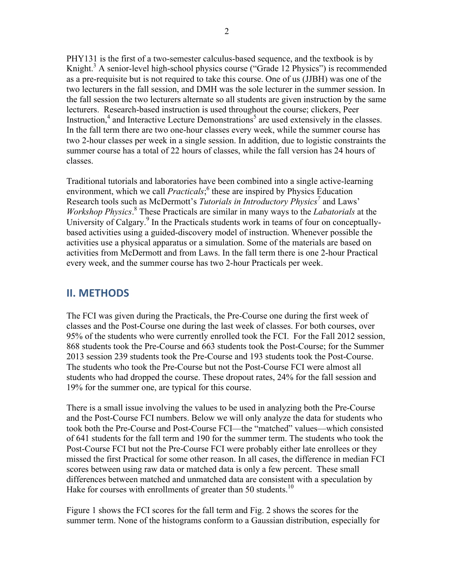PHY131 is the first of a two-semester calculus-based sequence, and the textbook is by Knight.<sup>3</sup> A senior-level high-school physics course ("Grade 12 Physics") is recommended as a pre-requisite but is not required to take this course. One of us (JJBH) was one of the two lecturers in the fall session, and DMH was the sole lecturer in the summer session. In the fall session the two lecturers alternate so all students are given instruction by the same lecturers. Research-based instruction is used throughout the course; clickers, Peer Instruction,<sup>4</sup> and Interactive Lecture Demonstrations<sup>5</sup> are used extensively in the classes. In the fall term there are two one-hour classes every week, while the summer course has two 2-hour classes per week in a single session. In addition, due to logistic constraints the summer course has a total of 22 hours of classes, while the fall version has 24 hours of classes.

Traditional tutorials and laboratories have been combined into a single active-learning environment, which we call *Practicals*;<sup>6</sup> these are inspired by Physics Education Research tools such as McDermott's *Tutorials in Introductory Physics<sup>7</sup>* and Laws' *Workshop Physics*. <sup>8</sup> These Practicals are similar in many ways to the *Labatorials* at the University of Calgary.<sup>9</sup> In the Practicals students work in teams of four on conceptuallybased activities using a guided-discovery model of instruction. Whenever possible the activities use a physical apparatus or a simulation. Some of the materials are based on activities from McDermott and from Laws. In the fall term there is one 2-hour Practical every week, and the summer course has two 2-hour Practicals per week.

# **II. METHODS**

The FCI was given during the Practicals, the Pre-Course one during the first week of classes and the Post-Course one during the last week of classes. For both courses, over 95% of the students who were currently enrolled took the FCI. For the Fall 2012 session, 868 students took the Pre-Course and 663 students took the Post-Course; for the Summer 2013 session 239 students took the Pre-Course and 193 students took the Post-Course. The students who took the Pre-Course but not the Post-Course FCI were almost all students who had dropped the course. These dropout rates, 24% for the fall session and 19% for the summer one, are typical for this course.

There is a small issue involving the values to be used in analyzing both the Pre-Course and the Post-Course FCI numbers. Below we will only analyze the data for students who took both the Pre-Course and Post-Course FCI—the "matched" values—which consisted of 641 students for the fall term and 190 for the summer term. The students who took the Post-Course FCI but not the Pre-Course FCI were probably either late enrollees or they missed the first Practical for some other reason. In all cases, the difference in median FCI scores between using raw data or matched data is only a few percent. These small differences between matched and unmatched data are consistent with a speculation by Hake for courses with enrollments of greater than 50 students.<sup>10</sup>

Figure 1 shows the FCI scores for the fall term and Fig. 2 shows the scores for the summer term. None of the histograms conform to a Gaussian distribution, especially for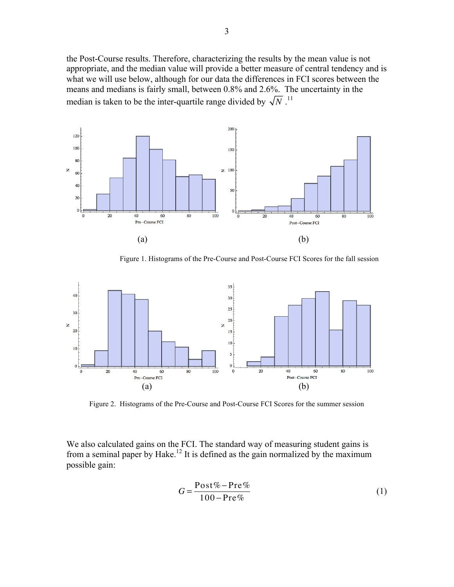the Post-Course results. Therefore, characterizing the results by the mean value is not appropriate, and the median value will provide a better measure of central tendency and is what we will use below, although for our data the differences in FCI scores between the means and medians is fairly small, between 0.8% and 2.6%. The uncertainty in the median is taken to be the inter-quartile range divided by  $\sqrt{N}$ .<sup>11</sup>



Figure 1. Histograms of the Pre-Course and Post-Course FCI Scores for the fall session



Figure 2. Histograms of the Pre-Course and Post-Course FCI Scores for the summer session

We also calculated gains on the FCI. The standard way of measuring student gains is from a seminal paper by Hake.<sup>12</sup> It is defined as the gain normalized by the maximum possible gain:

$$
G = \frac{\text{Post}\% - \text{Pre}\%}{100 - \text{Pre}\%} \tag{1}
$$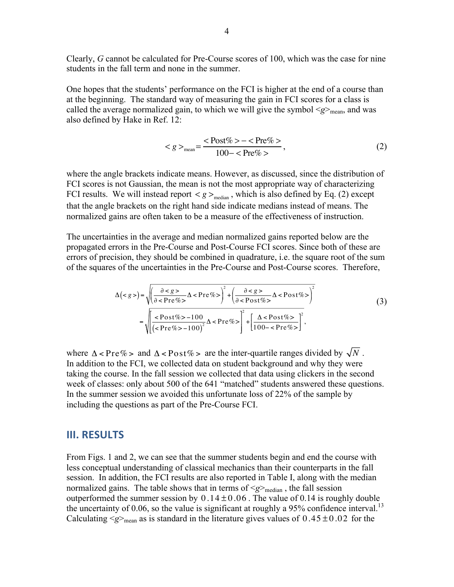Clearly, *G* cannot be calculated for Pre-Course scores of 100, which was the case for nine students in the fall term and none in the summer.

One hopes that the students' performance on the FCI is higher at the end of a course than at the beginning. The standard way of measuring the gain in FCI scores for a class is called the average normalized gain, to which we will give the symbol  $\langle g \rangle_{\text{mean}}$ , and was also defined by Hake in Ref. 12:

$$
\langle g \rangle_{\text{mean}} = \frac{\langle \text{Post}\% \rangle - \langle \text{Pre}\% \rangle}{100 - \langle \text{Pre}\% \rangle},\tag{2}
$$

where the angle brackets indicate means. However, as discussed, since the distribution of FCI scores is not Gaussian, the mean is not the most appropriate way of characterizing FCI results. We will instead report  $\langle g \rangle_{\text{median}}$ , which is also defined by Eq. (2) except that the angle brackets on the right hand side indicate medians instead of means. The normalized gains are often taken to be a measure of the effectiveness of instruction.

The uncertainties in the average and median normalized gains reported below are the propagated errors in the Pre-Course and Post-Course FCI scores. Since both of these are errors of precision, they should be combined in quadrature, i.e. the square root of the sum of the squares of the uncertainties in the Pre-Course and Post-Course scores. Therefore,

$$
\Delta() = \sqrt{\left(\frac{\partial }{\partial }{\partial \n
$$
= \sqrt{\left[\frac{
$$
$$

where  $\Delta <$  Pre% > and  $\Delta <$  Post% > are the inter-quartile ranges divided by  $\sqrt{N}$ . In addition to the FCI, we collected data on student background and why they were taking the course. In the fall session we collected that data using clickers in the second week of classes: only about 500 of the 641 "matched" students answered these questions. In the summer session we avoided this unfortunate loss of 22% of the sample by including the questions as part of the Pre-Course FCI.

#### **III. RESULTS**

From Figs. 1 and 2, we can see that the summer students begin and end the course with less conceptual understanding of classical mechanics than their counterparts in the fall session. In addition, the FCI results are also reported in Table I, along with the median normalized gains. The table shows that in terms of  $\langle g \rangle_{\text{median}}$ , the fall session outperformed the summer session by  $0.14 \pm 0.06$ . The value of 0.14 is roughly double the uncertainty of 0.06, so the value is significant at roughly a 95% confidence interval.<sup>13</sup> Calculating  $\langle g \rangle_{\text{mean}}$  as is standard in the literature gives values of  $0.45 \pm 0.02$  for the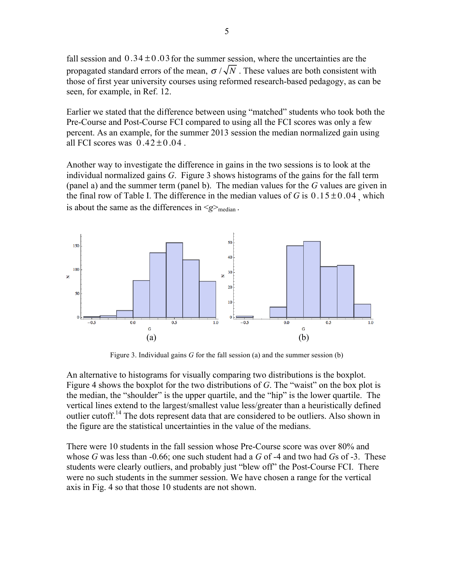fall session and  $0.34 \pm 0.03$  for the summer session, where the uncertainties are the propagated standard errors of the mean,  $\sigma / \sqrt{N}$ . These values are both consistent with those of first year university courses using reformed research-based pedagogy, as can be seen, for example, in Ref. 12.

Earlier we stated that the difference between using "matched" students who took both the Pre-Course and Post-Course FCI compared to using all the FCI scores was only a few percent. As an example, for the summer 2013 session the median normalized gain using all FCI scores was  $0.42 \pm 0.04$ .

Another way to investigate the difference in gains in the two sessions is to look at the individual normalized gains *G*. Figure 3 shows histograms of the gains for the fall term (panel a) and the summer term (panel b). The median values for the *G* values are given in the final row of Table I. The difference in the median values of *G* is  $0.15 \pm 0.04$  which is about the same as the differences in  $\leq g$ <sub>median</sub>.



Figure 3. Individual gains *G* for the fall session (a) and the summer session (b)

An alternative to histograms for visually comparing two distributions is the boxplot. Figure 4 shows the boxplot for the two distributions of *G*. The "waist" on the box plot is the median, the "shoulder" is the upper quartile, and the "hip" is the lower quartile. The vertical lines extend to the largest/smallest value less/greater than a heuristically defined outlier cutoff.<sup>14</sup> The dots represent data that are considered to be outliers. Also shown in the figure are the statistical uncertainties in the value of the medians.

There were 10 students in the fall session whose Pre-Course score was over 80% and whose *G* was less than -0.66; one such student had a *G* of -4 and two had *G*s of -3. These students were clearly outliers, and probably just "blew off" the Post-Course FCI. There were no such students in the summer session. We have chosen a range for the vertical axis in Fig. 4 so that those 10 students are not shown.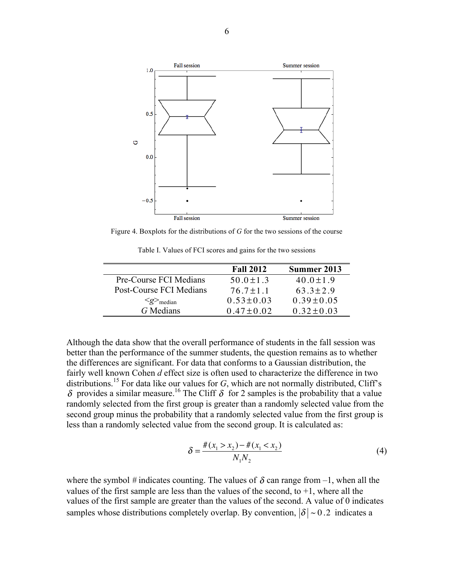

Figure 4. Boxplots for the distributions of *G* for the two sessions of the course

Table I. Values of FCI scores and gains for the two sessions

|                                       | <b>Fall 2012</b> | Summer 2013     |
|---------------------------------------|------------------|-----------------|
| Pre-Course FCI Medians                | $50.0 + 1.3$     | $40.0 \pm 1.9$  |
| Post-Course FCI Medians               | $76.7 + 1.1$     | $63.3 + 2.9$    |
| $\langle g \rangle$ <sub>median</sub> | $0.53 \pm 0.03$  | $0.39 \pm 0.05$ |
| G Medians                             | $0.47 + 0.02$    | $0.32 \pm 0.03$ |

Although the data show that the overall performance of students in the fall session was better than the performance of the summer students, the question remains as to whether the differences are significant. For data that conforms to a Gaussian distribution, the fairly well known Cohen *d* effect size is often used to characterize the difference in two distributions.<sup>15</sup> For data like our values for  $G$ , which are not normally distributed, Cliff's δ provides a similar measure.<sup>16</sup> The Cliff δ for 2 samples is the probability that a value randomly selected from the first group is greater than a randomly selected value from the second group minus the probability that a randomly selected value from the first group is less than a randomly selected value from the second group. It is calculated as:

$$
\delta = \frac{\#(x_1 > x_2) - \#(x_1 < x_2)}{N_1 N_2} \tag{4}
$$

where the symbol # indicates counting. The values of  $\delta$  can range from  $-1$ , when all the values of the first sample are less than the values of the second, to  $+1$ , where all the values of the first sample are greater than the values of the second. A value of 0 indicates samples whose distributions completely overlap. By convention,  $|\delta| \sim 0.2$  indicates a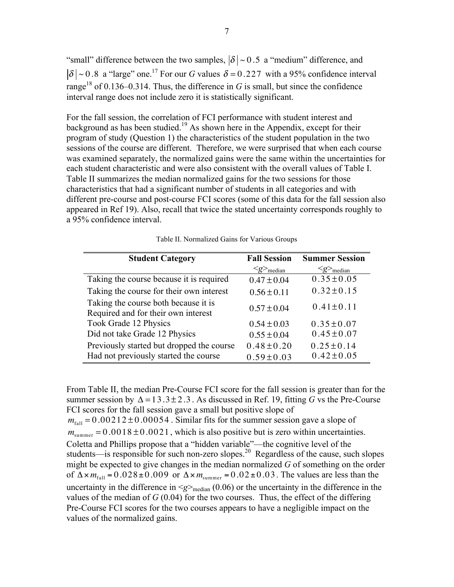"small" difference between the two samples,  $|\delta| \sim 0.5$  a "medium" difference, and  $\delta$  | ~ 0.8 a "large" one.<sup>17</sup> For our *G* values  $\delta$  = 0.227 with a 95% confidence interval range<sup>18</sup> of 0.136–0.314. Thus, the difference in *G* is small, but since the confidence interval range does not include zero it is statistically significant.

For the fall session, the correlation of FCI performance with student interest and background as has been studied.<sup>19</sup> As shown here in the Appendix, except for their program of study (Question 1) the characteristics of the student population in the two sessions of the course are different. Therefore, we were surprised that when each course was examined separately, the normalized gains were the same within the uncertainties for each student characteristic and were also consistent with the overall values of Table I. Table II summarizes the median normalized gains for the two sessions for those characteristics that had a significant number of students in all categories and with different pre-course and post-course FCI scores (some of this data for the fall session also appeared in Ref 19). Also, recall that twice the stated uncertainty corresponds roughly to a 95% confidence interval.

| <b>Student Category</b>                                                     | <b>Fall Session</b>                   | <b>Summer Session</b>                 |
|-----------------------------------------------------------------------------|---------------------------------------|---------------------------------------|
|                                                                             | $\langle g \rangle$ <sub>median</sub> | $\langle g \rangle$ <sub>median</sub> |
| Taking the course because it is required                                    | $0.47 \pm 0.04$                       | $0.35 \pm 0.05$                       |
| Taking the course for their own interest                                    | $0.56 \pm 0.11$                       | $0.32 \pm 0.15$                       |
| Taking the course both because it is<br>Required and for their own interest | $0.57 \pm 0.04$                       | $0.41 \pm 0.11$                       |
| Took Grade 12 Physics                                                       | $0.54 \pm 0.03$                       | $0.35 \pm 0.07$                       |
| Did not take Grade 12 Physics                                               | $0.55 \pm 0.04$                       | $0.45 \pm 0.07$                       |
| Previously started but dropped the course                                   | $0.48 \pm 0.20$                       | $0.25 \pm 0.14$                       |
| Had not previously started the course                                       | $0.59 \pm 0.03$                       | $0.42 \pm 0.05$                       |

Table II. Normalized Gains for Various Groups

From Table II, the median Pre-Course FCI score for the fall session is greater than for the summer session by  $\Delta = 13.3 \pm 2.3$ . As discussed in Ref. 19, fitting *G* vs the Pre-Course FCI scores for the fall session gave a small but positive slope of

 $m<sub>fall</sub> = 0.00212 \pm 0.00054$ . Similar fits for the summer session gave a slope of  $m_{\text{summer}} = 0.0018 \pm 0.0021$ , which is also positive but is zero within uncertainties. Coletta and Phillips propose that a "hidden variable"—the cognitive level of the students—is responsible for such non-zero slopes.<sup>20</sup> Regardless of the cause, such slopes might be expected to give changes in the median normalized *G* of something on the order of  $\Delta \times m_{\text{fall}} = 0.028 \pm 0.009$  or  $\Delta \times m_{\text{summer}} = 0.02 \pm 0.03$ . The values are less than the uncertainty in the difference in  $\langle g \rangle_{\text{median}}$  (0.06) or the uncertainty in the difference in the values of the median of  $G(0.04)$  for the two courses. Thus, the effect of the differing Pre-Course FCI scores for the two courses appears to have a negligible impact on the values of the normalized gains.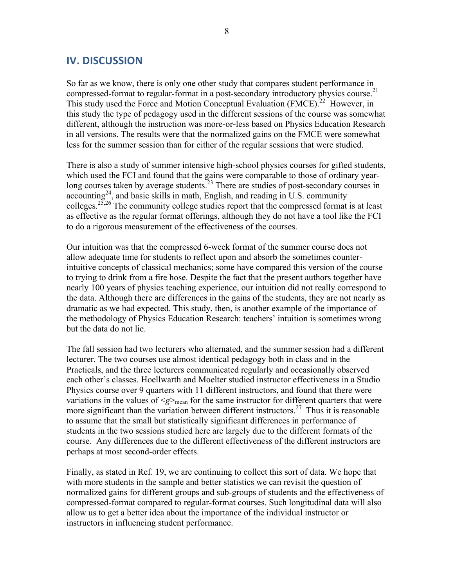## **IV. DISCUSSION**

So far as we know, there is only one other study that compares student performance in compressed-format to regular-format in a post-secondary introductory physics course.<sup>21</sup> This study used the Force and Motion Conceptual Evaluation (FMCE).<sup>22</sup> However, in this study the type of pedagogy used in the different sessions of the course was somewhat different, although the instruction was more-or-less based on Physics Education Research in all versions. The results were that the normalized gains on the FMCE were somewhat less for the summer session than for either of the regular sessions that were studied.

There is also a study of summer intensive high-school physics courses for gifted students, which used the FCI and found that the gains were comparable to those of ordinary yearlong courses taken by average students.<sup>23</sup> There are studies of post-secondary courses in accounting<sup>24</sup>, and basic skills in math, English, and reading in U.S. community colleges.<sup>25,26</sup> The community college studies report that the compressed format is at least as effective as the regular format offerings, although they do not have a tool like the FCI to do a rigorous measurement of the effectiveness of the courses.

Our intuition was that the compressed 6-week format of the summer course does not allow adequate time for students to reflect upon and absorb the sometimes counterintuitive concepts of classical mechanics; some have compared this version of the course to trying to drink from a fire hose. Despite the fact that the present authors together have nearly 100 years of physics teaching experience, our intuition did not really correspond to the data. Although there are differences in the gains of the students, they are not nearly as dramatic as we had expected. This study, then, is another example of the importance of the methodology of Physics Education Research: teachers' intuition is sometimes wrong but the data do not lie.

The fall session had two lecturers who alternated, and the summer session had a different lecturer. The two courses use almost identical pedagogy both in class and in the Practicals, and the three lecturers communicated regularly and occasionally observed each other's classes. Hoellwarth and Moelter studied instructor effectiveness in a Studio Physics course over 9 quarters with 11 different instructors, and found that there were variations in the values of  $\langle g \rangle_{\text{mean}}$  for the same instructor for different quarters that were more significant than the variation between different instructors.<sup>27</sup> Thus it is reasonable to assume that the small but statistically significant differences in performance of students in the two sessions studied here are largely due to the different formats of the course. Any differences due to the different effectiveness of the different instructors are perhaps at most second-order effects.

Finally, as stated in Ref. 19, we are continuing to collect this sort of data. We hope that with more students in the sample and better statistics we can revisit the question of normalized gains for different groups and sub-groups of students and the effectiveness of compressed-format compared to regular-format courses. Such longitudinal data will also allow us to get a better idea about the importance of the individual instructor or instructors in influencing student performance.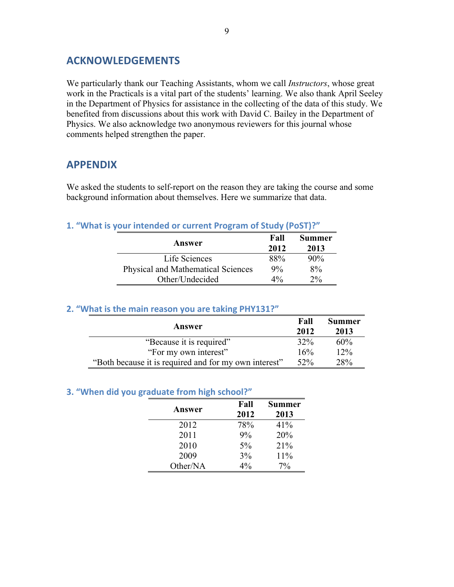# **ACKNOWLEDGEMENTS**

We particularly thank our Teaching Assistants, whom we call *Instructors*, whose great work in the Practicals is a vital part of the students' learning. We also thank April Seeley in the Department of Physics for assistance in the collecting of the data of this study. We benefited from discussions about this work with David C. Bailey in the Department of Physics. We also acknowledge two anonymous reviewers for this journal whose comments helped strengthen the paper.

## **APPENDIX**

We asked the students to self-report on the reason they are taking the course and some background information about themselves. Here we summarize that data.

#### **1.** "What is your intended or current Program of Study (PoST)?"

| Answer                             | Fall<br>2012 | <b>Summer</b><br>2013 |
|------------------------------------|--------------|-----------------------|
| Life Sciences                      | 88%          | $90\%$                |
| Physical and Mathematical Sciences | $9\%$        | $8\%$                 |
| Other/Undecided                    | $4\%$        | $2\%$                 |

#### **2.** "What is the main reason you are taking PHY131?"

| Answer                                                |     | <b>Summer</b><br>2013 |
|-------------------------------------------------------|-----|-----------------------|
| "Because it is required"                              | 32% | 60%                   |
| "For my own interest"                                 | 16% | 12%                   |
| "Both because it is required and for my own interest" |     | 28%                   |

#### **3.** "When did you graduate from high school?"

| <b>Answer</b> | Fall<br>2012 | <b>Summer</b><br>2013 |
|---------------|--------------|-----------------------|
| 2012          | 78%          | 41%                   |
| 2011          | 9%           | 20%                   |
| 2010          | $5\%$        | 21%                   |
| 2009          | 3%           | 11%                   |
| Other/NA      | $4\%$        | 7%                    |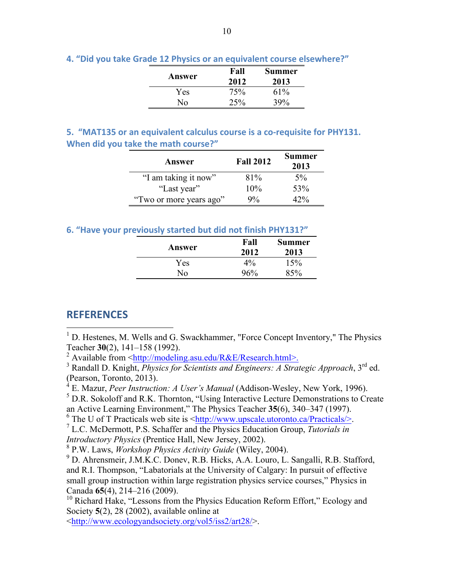|  |  |  |  |  |  |  |  |  | 4. "Did you take Grade 12 Physics or an equivalent course elsewhere?" |
|--|--|--|--|--|--|--|--|--|-----------------------------------------------------------------------|
|--|--|--|--|--|--|--|--|--|-----------------------------------------------------------------------|

| Answer | Fall<br>2012 | <b>Summer</b><br>2013 |
|--------|--------------|-----------------------|
| Yes    | 75%          | 61%                   |
| Nο     | 25%          | 39%                   |

**5.** "MAT135 or an equivalent calculus course is a co-requisite for PHY131. **When did you take the math course?"** 

| Answer                  | <b>Fall 2012</b> | <b>Summer</b><br>2013 |
|-------------------------|------------------|-----------------------|
| "I am taking it now"    | 81%              | $5\%$                 |
| "Last year"             | 10%              | 53%                   |
| "Two or more years ago" | $9\%$            | 47%                   |

### **6.** "Have vour previously started but did not finish PHY131?"

| Answer   | Fall<br>2012 | <b>Summer</b><br>2013 |  |
|----------|--------------|-----------------------|--|
| Yes      | $4\%$        | 15%                   |  |
| $\rm No$ | 96%          | 85%                   |  |

## **REFERENCES**

<sup>1</sup> D. Hestenes, M. Wells and G. Swackhammer, "Force Concept Inventory," The Physics Teacher **30**(2), 141–158 (1992).

<sup>2</sup> Available from  $\langle \frac{http://modeling.asu.edu/R&E/Research.html>}{$ .

<sup>3</sup> Randall D. Knight, *Physics for Scientists and Engineers: A Strategic Approach*, 3<sup>rd</sup> ed. (Pearson, Toronto, 2013).

<sup>4</sup> E. Mazur, *Peer Instruction: A User's Manual* (Addison-Wesley, New York, 1996).

<sup>5</sup> D.R. Sokoloff and R.K. Thornton, "Using Interactive Lecture Demonstrations to Create an Active Learning Environment," The Physics Teacher **35**(6), 340–347 (1997).

<sup>6</sup> The U of T Practicals web site is  $\frac{\text{http://www.upscale.utoronto.ca/Practicals/}}{\text{L.C. McDermott. P.S. Schaffer and the Physics Education Group. *Tutorials in*$ 

*Introductory Physics* (Prentice Hall, New Jersey, 2002).

<sup>8</sup> P.W. Laws, *Workshop Physics Activity Guide* (Wiley, 2004).

<sup>9</sup> D. Ahrensmeir, J.M.K.C. Donev, R.B. Hicks, A.A. Louro, L. Sangalli, R.B. Stafford, and R.I. Thompson, "Labatorials at the University of Calgary: In pursuit of effective small group instruction within large registration physics service courses," Physics in Canada **65**(4), 214–216 (2009).

<sup>10</sup> Richard Hake, "Lessons from the Physics Education Reform Effort," Ecology and Society **5**(2), 28 (2002), available online at

<http://www.ecologyandsociety.org/vol5/iss2/art28/>.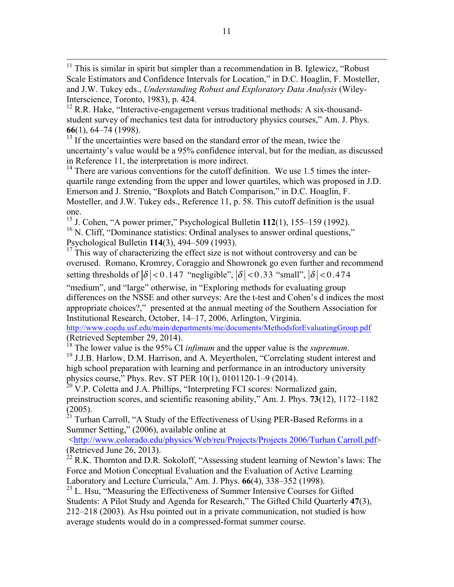$12$  R.R. Hake, "Interactive-engagement versus traditional methods: A six-thousandstudent survey of mechanics test data for introductory physics courses," Am. J. Phys. **66**(1), 64–74 (1998).

 $13$  If the uncertainties were based on the standard error of the mean, twice the uncertainty's value would be a 95% confidence interval, but for the median, as discussed in Reference 11, the interpretation is more indirect.

 $14$ <sup>14</sup> There are various conventions for the cutoff definition. We use 1.5 times the interquartile range extending from the upper and lower quartiles, which was proposed in J.D. Emerson and J. Strenio, "Boxplots and Batch Comparison," in D.C. Hoaglin, F. Mosteller, and J.W. Tukey eds., Reference 11, p. 58. This cutoff definition is the usual one.

<sup>15</sup> J. Cohen, "A power primer," Psychological Bulletin **112**(1), 155–159 (1992).  $16$  N. Cliff, "Dominance statistics: Ordinal analyses to answer ordinal questions," Psychological Bulletin **114**(3), 494–509 (1993).

 $17$  This way of characterizing the effect size is not without controversy and can be overused. Romano, Kromrey, Coraggio and Showronek go even further and recommend setting thresholds of  $|\delta| < 0.147$  "negligible",  $|\delta| < 0.33$  "small",  $|\delta| < 0.474$ 

"medium", and "large" otherwise, in "Exploring methods for evaluating group differences on the NSSE and other surveys: Are the t-test and Cohen's d indices the most appropriate choices?," presented at the annual meeting of the Southern Association for Institutional Research, October, 14–17, 2006, Arlington, Virginia.

http://www.coedu.usf.edu/main/departments/me/documents/MethodsforEvaluatingGroup.pdf

(Retrieved September 29, 2014).<br><sup>18</sup> The lower value is the 95% CI *infimum* and the upper value is the *supremum*.<br><sup>19</sup> J.J.B. Harlow, D.M. Harrison, and A. Meyertholen, "Correlating student interest and high school preparation with learning and performance in an introductory university physics course," Phys. Rev. ST PER 10(1), 0101120-1–9 (2014).

<sup>20</sup> V.P. Coletta and J.A. Phillips, "Interpreting FCI scores: Normalized gain, preinstruction scores, and scientific reasoning ability," Am. J. Phys. **73**(12), 1172–1182  $(2005)$ .<br><sup>21</sup> Turbs

Turhan Carroll, "A Study of the Effectiveness of Using PER-Based Reforms in a Summer Setting," (2006), available online at

<http://www.colorado.edu/physics/Web/reu/Projects/Projects 2006/Turhan Carroll.pdf> (Retrieved June 26, 2013).

 $^{22}$  R.K. Thornton and D.R. Sokoloff, "Assessing student learning of Newton's laws: The Force and Motion Conceptual Evaluation and the Evaluation of Active Learning Laboratory and Lecture Curricula," Am. J. Phys. **66**(4), 338–352 (1998).

<sup>23</sup> L. Hsu, "Measuring the Effectiveness of Summer Intensive Courses for Gifted Students: A Pilot Study and Agenda for Research," The Gifted Child Quarterly **47**(3), 212–218 (2003). As Hsu pointed out in a private communication, not studied is how average students would do in a compressed-format summer course.

 $11$  This is similar in spirit but simpler than a recommendation in B. Iglewicz, "Robust Scale Estimators and Confidence Intervals for Location," in D.C. Hoaglin, F. Mosteller, and J.W. Tukey eds., *Understanding Robust and Exploratory Data Analysis* (Wiley-Interscience, Toronto, 1983), p. 424.